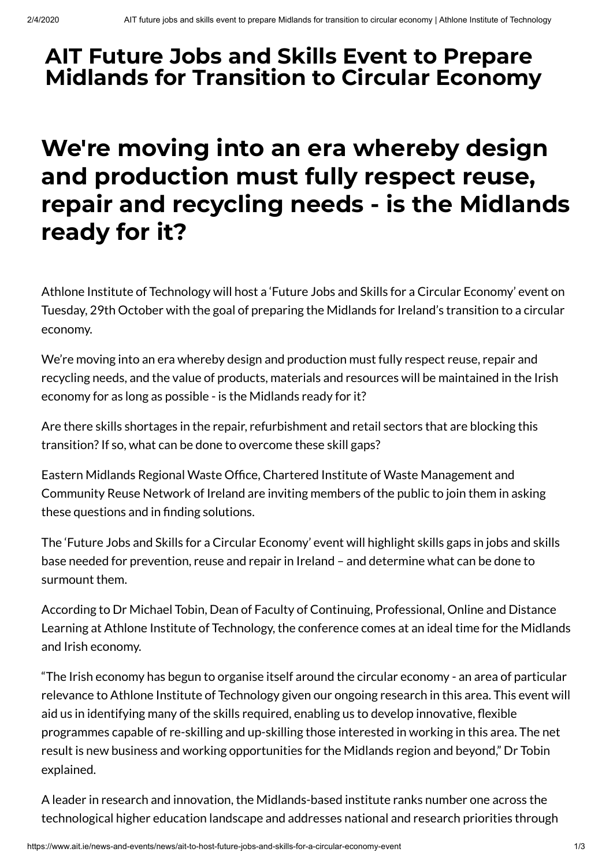## **AIT Future Jobs and Skills Event to Prepare Midlands for Transition to Circular Economy**

## **We're moving into an era whereby design and production must fully respect reuse, repair and recycling needs - is the Midlands ready for it?**

Athlone Institute of Technology will host a 'Future Jobs and Skills for a Circular Economy' event on Tuesday, 29th October with the goal of preparing the Midlands for Ireland's transition to a circular economy.

We're moving into an era whereby design and production must fully respect reuse, repair and recycling needs, and the value of products, materials and resources will be maintained in the Irish economy for as long as possible - is the Midlands ready for it?

Are there skills shortages in the repair, refurbishment and retail sectors that are blocking this transition? If so, what can be done to overcome these skill gaps?

Eastern Midlands Regional Waste Office, Chartered Institute of Waste Management and Community Reuse Network of Ireland are inviting members of the public to join them in asking these questions and in finding solutions.

The 'Future Jobs and Skills for a Circular Economy' event will highlight skills gaps in jobs and skills base needed for prevention, reuse and repair in Ireland – and determine what can be done to surmount them.

According to Dr Michael Tobin, Dean of Faculty of Continuing, Professional, Online and Distance Learning at Athlone Institute of Technology, the conference comes at an ideal time for the Midlands and Irish economy.

"The Irish economy has begun to organise itself around the circular economy - an area of particular relevance to Athlone Institute of Technology given our ongoing research in this area. This event will aid us in identifying many of the skills required, enabling us to develop innovative, flexible programmes capable of re-skilling and up-skilling those interested in working in this area. The net result is new business and working opportunities for the Midlands region and beyond," Dr Tobin explained.

A leader in research and innovation, the Midlands-based institute ranks number one across the technological higher education landscape and addresses national and research priorities through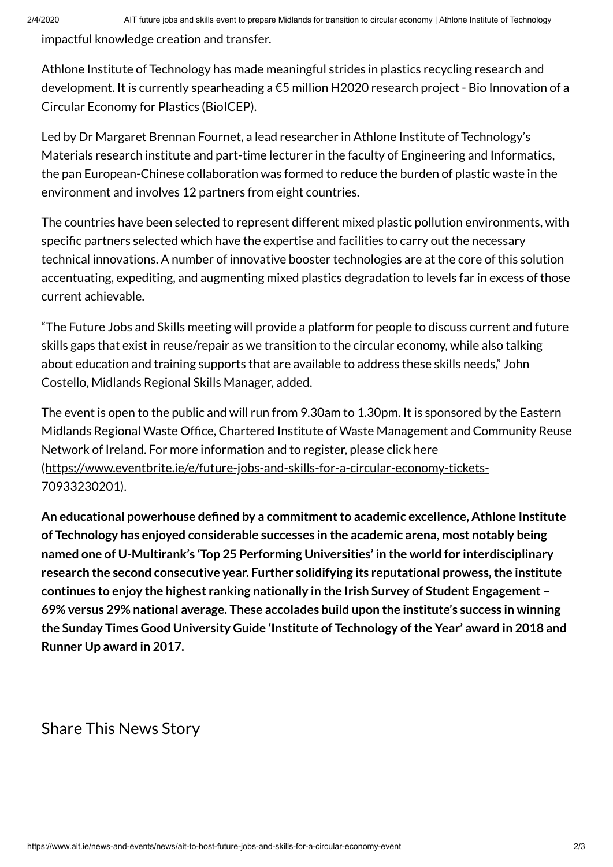impactful knowledge creation and transfer.

Athlone Institute of Technology has made meaningful strides in plastics recycling research and development. It is currently spearheading a €5 million H2020 research project - Bio Innovation of a Circular Economy for Plastics (BioICEP).

Led by Dr Margaret Brennan Fournet, a lead researcher in Athlone Institute of Technology's Materials research institute and part-time lecturer in the faculty of Engineering and Informatics, the pan European-Chinese collaboration was formed to reduce the burden of plastic waste in the environment and involves 12 partners from eight countries.

The countries have been selected to represent different mixed plastic pollution environments, with specific partners selected which have the expertise and facilities to carry out the necessary technical innovations. A number of innovative booster technologies are at the core of this solution accentuating, expediting, and augmenting mixed plastics degradation to levels far in excess of those current achievable.

"The Future Jobs and Skills meeting will provide a platform for people to discuss current and future skills gaps that exist in reuse/repair as we transition to the circular economy, while also talking about education and training supports that are available to address these skills needs," John Costello, Midlands Regional Skills Manager, added.

The event is open to the public and will run from 9.30am to 1.30pm. It is sponsored by the Eastern Midlands Regional Waste Office, Chartered Institute of Waste Management and Community Reuse Network of Ireland. For more information and to register, please click here [\(https://www.eventbrite.ie/e/future-jobs-and-skills-for-a-circular-economy-tickets-](https://www.eventbrite.ie/e/future-jobs-and-skills-for-a-circular-economy-tickets-70933230201)70933230201).

**An educational powerhouse dened by a commitmentto academic excellence, Athlone Institute of Technology has enjoyed considerable successes in the academic arena, most notably being named one of U-Multirank's 'Top 25 Performing Universities' in the world for interdisciplinary research the second consecutive year. Further solidifying its reputational prowess,the institute continues to enjoy the highest ranking nationally in the Irish Survey of Student Engagement – 69% versus 29% national average. These accolades build upon the institute's success in winning the Sunday Times Good University Guide 'Institute of Technology ofthe Year' award in 2018 and Runner Up award in 2017.**

## Share This News Story